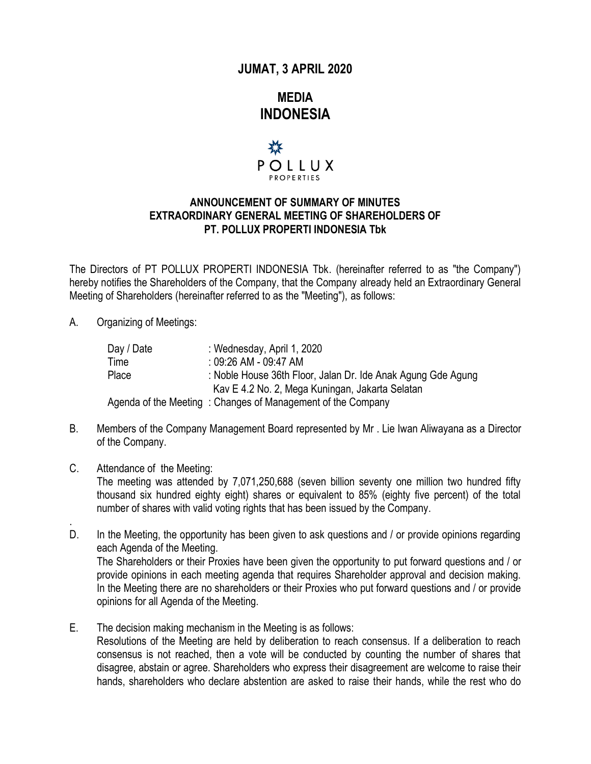## **JUMAT, 3 APRIL 2020**

**MEDIA INDONESIA**



## **ANNOUNCEMENT OF SUMMARY OF MINUTES EXTRAORDINARY GENERAL MEETING OF SHAREHOLDERS OF PT. POLLUX PROPERTI INDONESIA Tbk**

The Directors of PT POLLUX PROPERTI INDONESIA Tbk. (hereinafter referred to as "the Company") hereby notifies the Shareholders of the Company, that the Company already held an Extraordinary General Meeting of Shareholders (hereinafter referred to as the "Meeting"), as follows:

## A. Organizing of Meetings:

| Day / Date | : Wednesday, April 1, 2020                                   |
|------------|--------------------------------------------------------------|
| Time       | $:09:26$ AM - 09:47 AM                                       |
| Place      | : Noble House 36th Floor, Jalan Dr. Ide Anak Agung Gde Agung |
|            | Kav E 4.2 No. 2, Mega Kuningan, Jakarta Selatan              |
|            | Agenda of the Meeting: Changes of Management of the Company  |

- B. Members of the Company Management Board represented by Mr . Lie Iwan Aliwayana as a Director of the Company.
- C. Attendance of the Meeting:

.

The meeting was attended by 7,071,250,688 (seven billion seventy one million two hundred fifty thousand six hundred eighty eight) shares or equivalent to 85% (eighty five percent) of the total number of shares with valid voting rights that has been issued by the Company.

- D. In the Meeting, the opportunity has been given to ask questions and / or provide opinions regarding each Agenda of the Meeting. The Shareholders or their Proxies have been given the opportunity to put forward questions and / or provide opinions in each meeting agenda that requires Shareholder approval and decision making. In the Meeting there are no shareholders or their Proxies who put forward questions and / or provide opinions for all Agenda of the Meeting.
- E. The decision making mechanism in the Meeting is as follows: Resolutions of the Meeting are held by deliberation to reach consensus. If a deliberation to reach consensus is not reached, then a vote will be conducted by counting the number of shares that disagree, abstain or agree. Shareholders who express their disagreement are welcome to raise their hands, shareholders who declare abstention are asked to raise their hands, while the rest who do